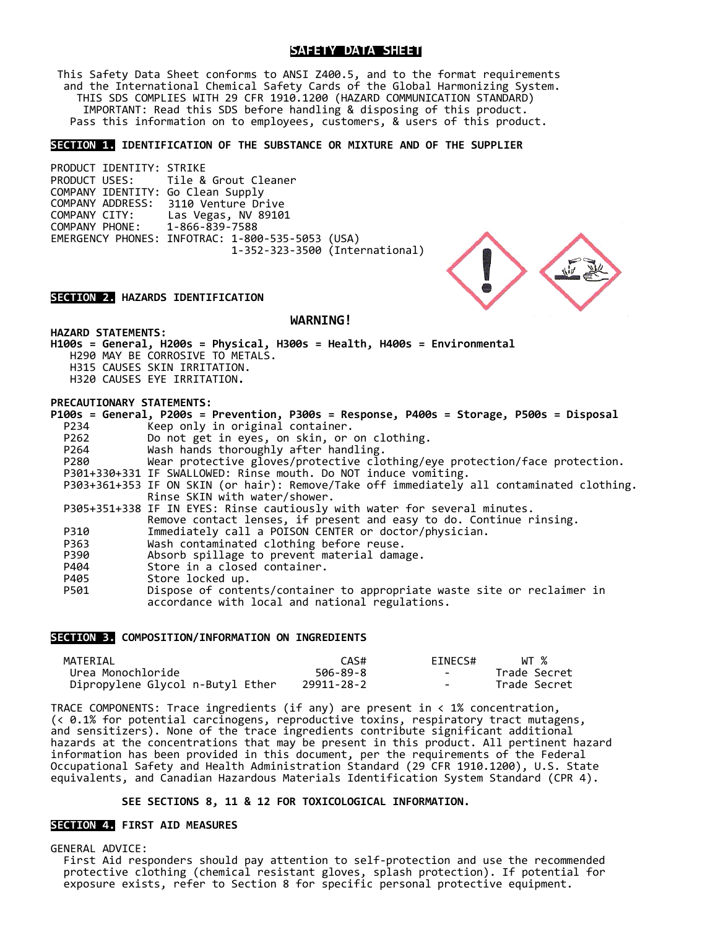# **SAFETY DATA SHEET**

This Safety Data Sheet conforms to ANSI Z400.5, and to the format requirements<br>and the International Chemical Safety Cards of the Global Harmonizing System.<br>THIS SDS COMPLIES WITH 29 CFR 1910.1200 (HAZARD COMMUNICATION STA IMPORTANT: Read this SDS before handling & disposing of this product. Pass this information on to employees, customers, & users of this product.

### **SECTION 1. IDENTIFICATION OF THE SUBSTANCE OR MIXTURE AND OF THE SUPPLIER**

PRODUCT IDENTITY: STRIKE<br>PRODUCT USES: Tile & Tile & Grout Cleaner COMPANY IDENTITY: Go Clean Supply COMPANY ADDRESS: 3110 Venture Drive<br>COMPANY CITY: Las Vegas, NV 8910 COMPANY CITY: Las Vegas, NV 89101 COMPANY PHONE: 1-866-839-7588 EMERGENCY PHONES: INFOTRAC: 1-800-535-5053 (USA) 1-352-323-3500 (International)

# **SECTION 2. HAZARDS IDENTIFICATION**

# **WARNING!**

**HAZARD STATEMENTS:**

**H100s = General, H200s = Physical, H300s = Health, H400s = Environmental** H290 MAY BE CORROSIVE TO METALS. H315 CAUSES SKIN IRRITATION. H320 CAUSES EYE IRRITATION**.**

# **PRECAUTIONARY STATEMENTS:**

|      | P100s = General, P200s = Prevention, P300s = Response, P400s = Storage, P500s = Disposal  |
|------|-------------------------------------------------------------------------------------------|
| P234 | Keep only in original container.                                                          |
| P262 | Do not get in eyes, on skin, or on clothing.                                              |
| P264 | Wash hands thoroughly after handling.                                                     |
| P280 | Wear protective gloves/protective clothing/eye protection/face protection.                |
|      | P301+330+331 IF SWALLOWED: Rinse mouth. Do NOT induce vomiting.                           |
|      | P303+361+353 IF ON SKIN (or hair): Remove/Take off immediately all contaminated clothing. |
|      | Rinse SKIN with water/shower.                                                             |
|      | P305+351+338 IF IN EYES: Rinse cautiously with water for several minutes.                 |
|      | Remove contact lenses, if present and easy to do. Continue rinsing.                       |
| P310 | Immediately call a POISON CENTER or doctor/physician.                                     |
| P363 | Wash contaminated clothing before reuse.                                                  |
| P390 | Absorb spillage to prevent material damage.                                               |
| P404 | Store in a closed container.                                                              |
| P405 | Store locked up.                                                                          |
| P501 | Dispose of contents/container to appropriate waste site or reclaimer in                   |
|      | accordance with local and national regulations.                                           |
|      |                                                                                           |

### **SECTION 3. COMPOSITION/INFORMATION ON INGREDIENTS**

| MATERIAL                         | CAS#       | EINECS# | WT %         |
|----------------------------------|------------|---------|--------------|
| Urea Monochloride                | 506-89-8   | $\sim$  | Trade Secret |
| Dipropylene Glycol n-Butyl Ether | 29911-28-2 | $\sim$  | Trade Secret |

TRACE COMPONENTS: Trace ingredients (if any) are present in < 1% concentration, (< 0.1% for potential carcinogens, reproductive toxins, respiratory tract mutagens, and sensitizers). None of the trace ingredients contribute significant additional hazards at the concentrations that may be present in this product. All pertinent hazard information has been provided in this document, per the requirements of the Federal Occupational Safety and Health Administration Standard (29 CFR 1910.1200), U.S. State equivalents, and Canadian Hazardous Materials Identification System Standard (CPR 4).

# **SEE SECTIONS 8, 11 & 12 FOR TOXICOLOGICAL INFORMATION.**

# **SECTION 4. FIRST AID MEASURES**

GENERAL ADVICE:<br>First Aid responders should pay attention to self-protection and use the recommended protective clothing (chemical resistant gloves, splash protection). If potential for<br>exposure exists, refer to Section 8 for specific personal protective equipment.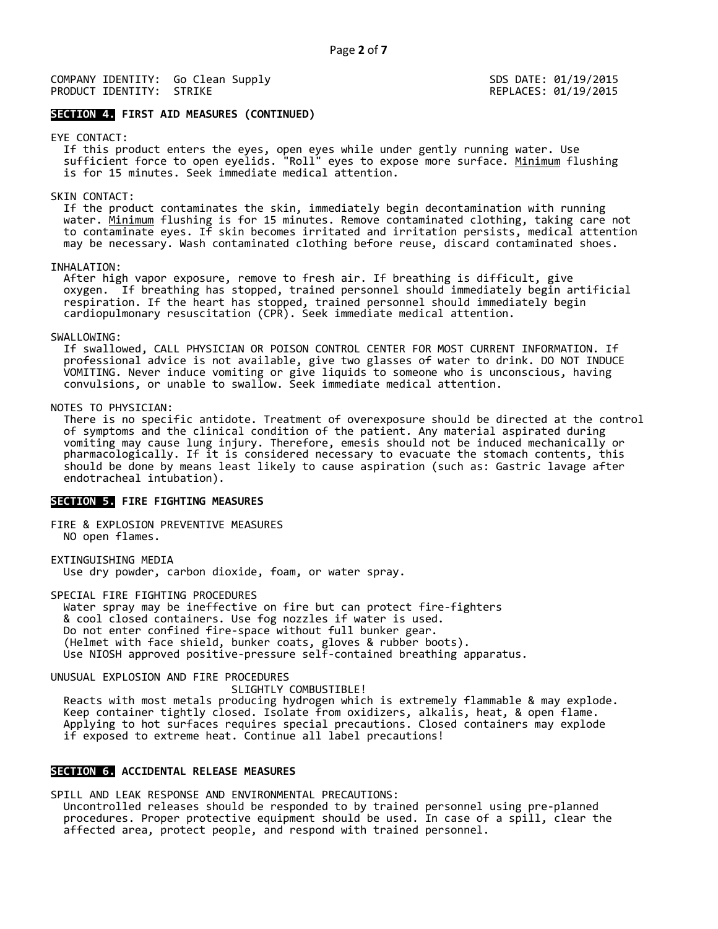SDS DATE: 01/19/2015 REPLACES: 01/19/2015

# **SECTION 4. FIRST AID MEASURES (CONTINUED)**

# EYE CONTACT:

 If this product enters the eyes, open eyes while under gently running water. Use sufficient force to open eyelids. "Roll" eyes to expose more surface. <u>Minimum</u> flushing<br>is for 15 minutes. Seek immediate medical attention.

### SKIN CONTACT:

 If the product contaminates the skin, immediately begin decontamination with running water. <u>Minimum</u> flushing is for 15 minutes. Remove contaminated clothing, taking care not<br>to contaminate eyes. If skin becomes irritated and irritation persists, medical attention may be necessary. Wash contaminated clothing before reuse, discard contaminated shoes.

INHALATION:<br>After high vapor exposure, remove to fresh air. If breathing is difficult, give oxygen. If breathing has stopped, trained personnel should immediately begin artificial respiration. If the heart has stopped, trained personnel should immediately begin cardiopulmonary resuscitation (CPR). Seek immediate medical attention.

### SWALLOWING:

 If swallowed, CALL PHYSICIAN OR POISON CONTROL CENTER FOR MOST CURRENT INFORMATION. If professional advice is not available, give two glasses of water to drink. DO NOT INDUCE VOMITING. Never induce vomiting or give liquids to someone who is unconscious, having convulsions, or unable to swallow. Seek immediate medical attention.

NOTES TO PHYSICIAN:<br>There is no specific antidote. Treatment of overexposure should be directed at the control<br>of symptoms and the clinical condition of the patient. Any material aspirated during<br>vomiting may cause lung in pharmacologically. If it is considered necessary to evacuate the stomach contents, this should be done by means least likely to cause aspiration (such as: Gastric lavage after endotracheal intubation).

# **SECTION 5. FIRE FIGHTING MEASURES**

FIRE & EXPLOSION PREVENTIVE MEASURES NO open flames.

EXTINGUISHING MEDIA<br>Use dry powder, carbon dioxide, foam, or water spray.

SPECIAL FIRE FIGHTING PROCEDURES<br>Water spray may be ineffective on fire but can protect fire-fighters & cool closed containers. Use fog nozzles if water is used.<br>Do not enter confined fire-space without full bunker gear.<br>(Helmet with face shield, bunker coats, gloves & rubber boots). Use NIOSH approved positive-pressure self-contained breathing apparatus.

UNUSUAL EXPLOSION AND FIRE PROCEDURES

Reacts with most metals producing hydrogen which is extremely flammable & may explode.<br>Keep container tightly closed. Isolate from oxidizers, alkalis, heat, & open flame. Applying to hot surfaces requires special precautions. Closed containers may explode if exposed to extreme heat. Continue all label precautions!

## **SECTION 6. ACCIDENTAL RELEASE MEASURES**

SPILL AND LEAK RESPONSE AND ENVIRONMENTAL PRECAUTIONS: Uncontrolled releases should be responded to by trained personnel using pre-planned procedures. Proper protective equipment should be used. In case of a spill, clear the affected area, protect people, and respond with trained personnel.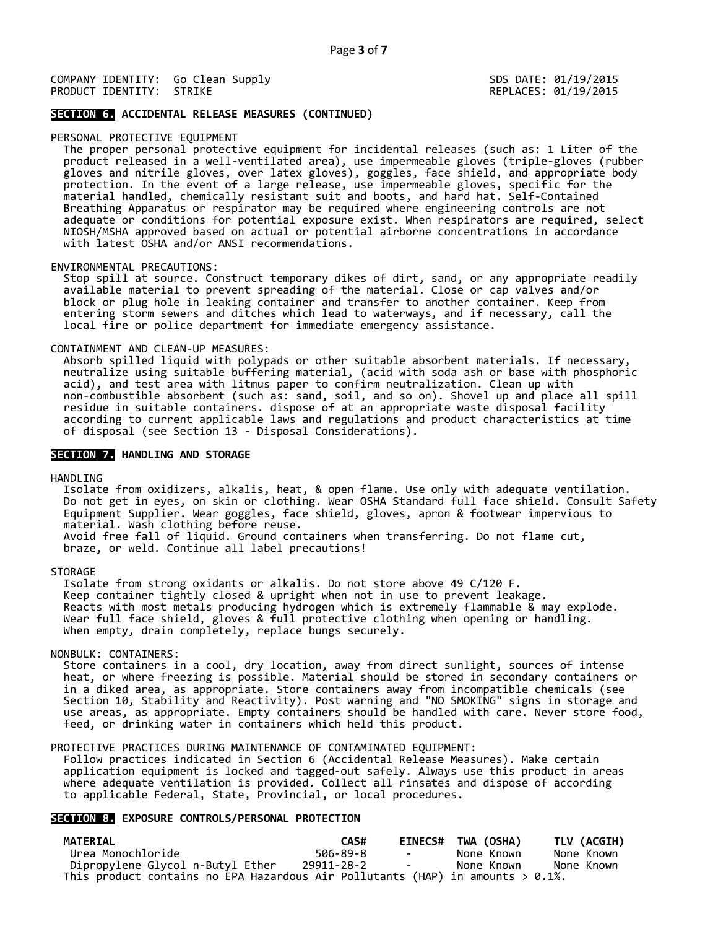SDS DATE: 01/19/2015 REPLACES: 01/19/2015

# **SECTION 6. ACCIDENTAL RELEASE MEASURES (CONTINUED)**

### PERSONAL PROTECTIVE EQUIPMENT

 The proper personal protective equipment for incidental releases (such as: 1 Liter of the product released in a well-ventilated area), use impermeable gloves (triple-gloves (rubber<br>gloves and nitrile gloves, over latex gloves), goggles, face shield, and appropriate body protection. In the event of a large release, use impermeable gloves, specific for the<br>material handled, chemically resistant suit and boots, and hard hat. Self-Contained<br>Breathing Apparatus or respirator may be required wh NIOSH/MSHA approved based on actual or potential airborne concentrations in accordance with latest OSHA and/or ANSI recommendations.

### ENVIRONMENTAL PRECAUTIONS:

Istop spill at source. Construct temporary dikes of dirt, sand, or any appropriate readily<br>available material to prevent spreading of the material. Close or cap valves and/or block or plug hole in leaking container and transfer to another container. Keep from entering storm sewers and ditches which lead to waterways, and if necessary, call the local fire or police department for immediate emergency assistance.

CONTAINMENT AND CLEAN-UP MEASURES:<br>Absorb spilled liquid with polypads or other suitable absorbent materials. If necessary,<br>neutralize using suitable buffering material, (acid with soda ash or base with phosphoric acid), and test area with litmus paper to confirm neutralization. Clean up with<br>non-combustible absorbent (such as: sand, soil, and so on). Shovel up and place all spill<br>residue in suitable containers. dispose of at an app according to current applicable laws and regulations and product characteristics at time of disposal (see Section 13 - Disposal Considerations).

### **SECTION 7. HANDLING AND STORAGE**

HANDLING<br>Isolate from oxidizers, alkalis, heat, & open flame. Use only with adequate ventilation. Do not get in eyes, on skin or clothing. Wear OSHA Standard full face shield. Consult Safety<br>Equipment Supplier. Wear goggles, face shield, gloves, apron & footwear impervious to<br>material. Wash clothing before reuse. Avoid free fall of liquid. Ground containers when transferring. Do not flame cut, braze, or weld. Continue all label precautions!

STORAGE<br>Isolate from strong oxidants or alkalis. Do not store above 49 C/120 F. Keep container tightly closed & upright when not in use to prevent leakage.<br>Reacts with most metals producing hydrogen which is extremely flammable & may explode.<br>Wear full face shield, gloves & full protective clothing wh

NONBULK: CONTAINERS:<br>Store containers in a cool, dry location, away from direct sunlight, sources of intense<br>heat, or where freezing is possible. Material should be stored in secondary containers or<br>in a diked area, as app Section 10, Stability and Reactivity). Post warning and "NO SMOKING" signs in storage and<br>use areas, as appropriate. Empty containers should be handled with care. Never store food,<br>feed, or drinking water in containers whi

PROTECTIVE PRACTICES DURING MAINTENANCE OF CONTAMINATED EQUIPMENT:<br>Follow practices indicated in Section 6 (Accidental Release Measures). Make certain application equipment is locked and tagged-out safely. Always use this product in areas<br>where adequate ventilation is provided. Collect all rinsates and dispose of according to applicable Federal, State, Provincial, or local procedures.

# **SECTION 8. EXPOSURE CONTROLS/PERSONAL PROTECTION**

| MATERIAL                                                                           | CAS#       |                                   | EINECS# TWA (OSHA) | TLV (ACGIH) |
|------------------------------------------------------------------------------------|------------|-----------------------------------|--------------------|-------------|
| Urea Monochloride                                                                  | 506-89-8   | <b>Contract Contract Contract</b> | None Known         | None Known  |
| Dipropylene Glycol n-Butyl Ether                                                   | 29911-28-2 |                                   | None Known         | None Known  |
| This product contains no EPA Hazardous Air Pollutants (HAP) in amounts $> 0.1\%$ . |            |                                   |                    |             |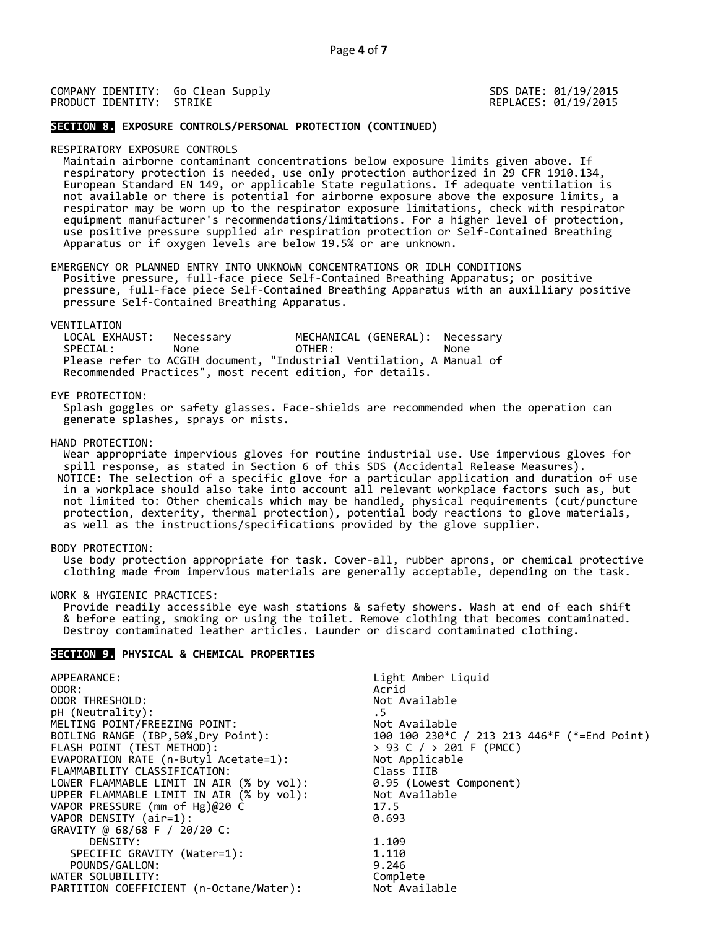SDS DATE: 01/19/2015 REPLACES: 01/19/2015

### **SECTION 8. EXPOSURE CONTROLS/PERSONAL PROTECTION (CONTINUED)**

RESPIRATORY EXPOSURE CONTROLS<br>Maintain airborne contaminant concentrations below exposure limits given above. If respiratory protection is needed, use only protection authorized in 29 CFR 1910.134,<br>European Standard EN 149, or applicable State regulations. If adequate ventilation is<br>not available or there is potential for airborne ex

EMERGENCY OR PLANNED ENTRY INTO UNKNOWN CONCENTRATIONS OR IDLH CONDITIONS<br>Positive pressure, full-face piece Self-Contained Breathing Apparatus; or positive<br>pressure, full-face piece Self-Contained Breathing Apparatus with pressure Self-Contained Breathing Apparatus.

VENTILATION<br>LOCAL EXHAUST: LOCAL EXHAUST: Necessary MECHANICAL (GENERAL): Necessary SPECIAL: None OTHER: None Please refer to ACGIH document, "Industrial Ventilation, A Manual of Recommended Practices", most recent edition, for details.

### EYE PROTECTION:

Splash goggles or safety glasses. Face-shields are recommended when the operation can generate splashes, sprays or mists.

HAND PROTECTION: Wear appropriate impervious gloves for routine industrial use. Use impervious gloves for spill response, as stated in Section 6 of this SDS (Accidental Release Measures). NOTICE: The selection of a specific glove for a particular application and duration of use in a workplace should also take into account all relevant workplace factors such as, but not limited to: Other chemicals which may be handled, physical requirements (cut/puncture protection, dexterity, thermal protection), potential body reactions to glove materials, as well as the instructions/specifications

BODY PROTECTION:<br>Use body protection appropriate for task. Cover-all, rubber aprons, or chemical protective<br>clothing made from impervious materials are generally acceptable, depending on the task.

WORK & HYGIENIC PRACTICES:<br>Provide readily accessible eye wash stations & safety showers. Wash at end of each shift<br>& before eating, smoking or using the toilet. Remove clothing that becomes contaminated. Destroy contaminated leather articles. Launder or discard contaminated clothing.

## **SECTION 9. PHYSICAL & CHEMICAL PROPERTIES**

| APPEARANCE:                              | Light Amber Liquid                          |
|------------------------------------------|---------------------------------------------|
| ODOR:                                    | Acrid                                       |
| ODOR THRESHOLD:                          | Not Available                               |
| pH (Neutrality):                         | . 5                                         |
| MELTING POINT/FREEZING POINT:            | Not Available                               |
| BOILING RANGE (IBP, 50%, Dry Point):     | 100 100 230*C / 213 213 446*F (*=End Point) |
| FLASH POINT (TEST METHOD):               | > 93 C / > 201 F (PMCC)                     |
| EVAPORATION RATE (n-Butyl Acetate=1):    | Not Applicable                              |
| FLAMMABILITY CLASSIFICATION:             | Class IIIB                                  |
| LOWER FLAMMABLE LIMIT IN AIR (% by vol): | 0.95 (Lowest Component)                     |
| UPPER FLAMMABLE LIMIT IN AIR (% by vol): | Not Available                               |
| VAPOR PRESSURE (mm of Hg)@20 C           | 17.5                                        |
| VAPOR DENSITY (air=1):                   | 0.693                                       |
| GRAVITY @ 68/68 F / 20/20 C:             |                                             |
| DENSITY:                                 | 1,109                                       |
| SPECIFIC GRAVITY (Water=1):              | 1.110                                       |
| POUNDS/GALLON:                           | 9.246                                       |
| WATER SOLUBILITY:                        | Complete                                    |
| PARTITION COEFFICIENT (n-Octane/Water):  | Not Available                               |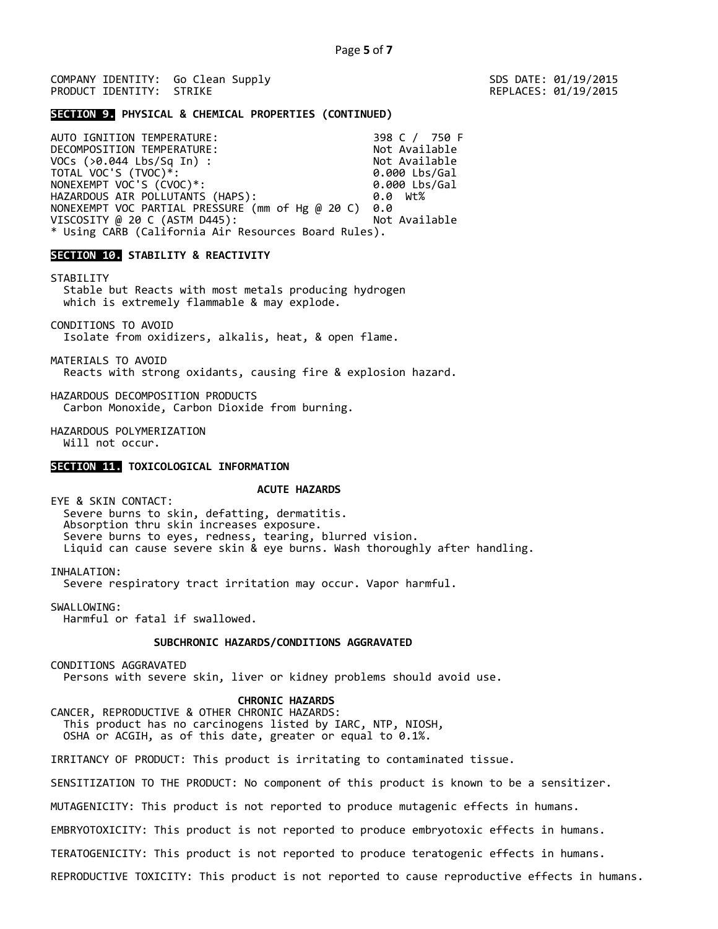SDS DATE: 01/19/2015 REPLACES: 01/19/2015

### **SECTION 9. PHYSICAL & CHEMICAL PROPERTIES (CONTINUED)**

AUTO IGNITION TEMPERATURE: 398 C / 750 F DECOMPOSITION TEMPERATURE:<br>VOCs (>0.044 Lbs/Sq In) : Not Available VOCs (>0.044 Lbs/Sq In) : Not Available Not Available Not Available<br>TOTAL VOC'S (TVOC)\*: Not Available Not Available TOTAL VOC'S (TVOC)\*: 0.000 Lbs/Gal NONEXEMPT VOC'S (CVOC)\*: 0.000 Lbs/Gal HAZARDOUS AIR POLLUTANTS (HAPS): 0.0 Wt% NONEXEMPT VOC PARTIAL PRESSURE (mm of Hg @ 20 C) 0.0<br>VISCOSITY @ 20 C (ASTM D445): Not Available VISCOSITY @ 20 C (ASTM D445): \* Using CARB (California Air Resources Board Rules).

# **SECTION 10. STABILITY & REACTIVITY**

STABILITY Stable but Reacts with most metals producing hydrogen which is extremely flammable & may explode.

CONDITIONS TO AVOID Isolate from oxidizers, alkalis, heat, & open flame.

MATERIALS TO AVOID<br>Reacts with strong oxidants, causing fire & explosion hazard.

HAZARDOUS DECOMPOSITION PRODUCTS Carbon Monoxide, Carbon Dioxide from burning.

HAZARDOUS POLYMERIZATION Will not occur.

### **SECTION 11. TOXICOLOGICAL INFORMATION**

### **ACUTE HAZARDS**

EYE & SKIN CONTACT: Severe burns to skin, defatting, dermatitis.<br>Absorption thru skin increases exposure.<br>Severe burns to eyes, redness, tearing, blurred vision. Liquid can cause severe skin & eye burns. Wash thoroughly after handling.

INHALATION:

Severe respiratory tract irritation may occur. Vapor harmful.

SWALLOWING:

Harmful or fatal if swallowed.

# **SUBCHRONIC HAZARDS/CONDITIONS AGGRAVATED**

CONDITIONS AGGRAVATED

Persons with severe skin, liver or kidney problems should avoid use.

**CHRONIC HAZARDS**<br>**CANCER, REPRODUCTIVE & OTHER CHRONIC HAZARDS:** This product has no carcinogens listed by IARC, NTP, NIOSH, OSHA or ACGIH, as of this date, greater or equal to 0.1%.

IRRITANCY OF PRODUCT: This product is irritating to contaminated tissue.

SENSITIZATION TO THE PRODUCT: No component of this product is known to be a sensitizer.

MUTAGENICITY: This product is not reported to produce mutagenic effects in humans.

EMBRYOTOXICITY: This product is not reported to produce embryotoxic effects in humans.

TERATOGENICITY: This product is not reported to produce teratogenic effects in humans.

REPRODUCTIVE TOXICITY: This product is not reported to cause reproductive effects in humans.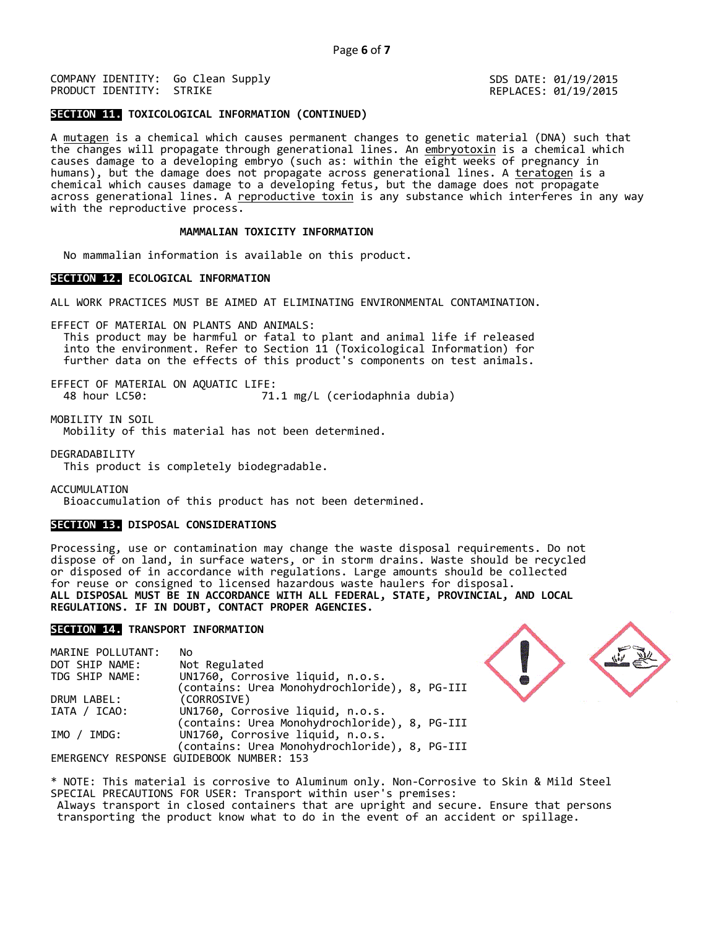**SECTION 11. TOXICOLOGICAL INFORMATION (CONTINUED)**

A <u>mutagen</u> is a chemical which causes permanent changes to genetic material (DNA) such that the changes will propagate through generational lines. An <u>embryotoxin</u> is a chemical which causes damage to a developing embryo (such as: within the eight weeks of pregnancy in humans), but the damage does not propagate across generational lines. A <u>teratogen</u> is a chemical which causes damage to a developing fetus, but the damage does not propagate across generational lines. A reproductive toxin is any substance which interferes in any way with the reproductive process.

# **MAMMALIAN TOXICITY INFORMATION**

No mammalian information is available on this product.

### **SECTION 12. ECOLOGICAL INFORMATION**

ALL WORK PRACTICES MUST BE AIMED AT ELIMINATING ENVIRONMENTAL CONTAMINATION.

EFFECT OF MATERIAL ON PLANTS AND ANIMALS:<br>This product may be harmful or fatal to plant and animal life if released<br>into the environment. Refer to Section 11 (Toxicological Information) for<br>further data on the effects of t

EFFECT OF MATERIAL ON AQUATIC LIFE: 48 hour LC50: 71.1 mg/L (ceriodaphnia dubia)

MOBILITY IN SOIL Mobility of this material has not been determined.

DEGRADABILITY

This product is completely biodegradable.

ACCUMULATION

Bioaccumulation of this product has not been determined.

# **SECTION 13. DISPOSAL CONSIDERATIONS**

Processing, use or contamination may change the waste disposal requirements. Do not dispose of on land, in surface waters, or in storm drains. Waste should be recycled or disposed of in accordance with regulations. Large amounts should be collected for reuse or consigned to licensed hazardous waste haulers for disposal. **ALL DISPOSAL MUST BE IN ACCORDANCE WITH ALL FEDERAL, STATE, PROVINCIAL, AND LOCAL REGULATIONS. IF IN DOUBT, CONTACT PROPER AGENCIES.**

# **SECTION 14. TRANSPORT INFORMATION**

| MARINE POLLUTANT: | No                                            |
|-------------------|-----------------------------------------------|
| DOT SHIP NAME:    | Not Regulated                                 |
| TDG SHIP NAME:    | UN1760, Corrosive liquid, n.o.s.              |
|                   | (contains: Urea Monohydrochloride), 8, PG-III |
| DRUM LABEL:       | (CORROSIVE)                                   |
| IATA / ICAO:      | UN1760, Corrosive liquid, n.o.s.              |
|                   | (contains: Urea Monohydrochloride), 8, PG-III |
| IMO / IMDG:       | UN1760, Corrosive liquid, n.o.s.              |
|                   | (contains: Urea Monohydrochloride), 8, PG-III |
|                   | EMERGENCY RESPONSE GUIDEBOOK NUMBER: 153      |



\* NOTE: This material is corrosive to Aluminum only. Non-Corrosive to Skin & Mild Steel SPECIAL PRECAUTIONS FOR USER: Transport within user's premises:

Always transport in closed containers that are upright and secure. Ensure that persons transporting the product know what to do in the event of an accident or spillage.

SDS DATE: 01/19/2015 REPLACES: 01/19/2015